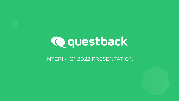

### INTERIM Q1 2022 PRESENTATION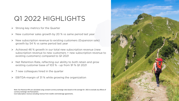## Q1 2022 HIGHLIGHTS

- $\triangleright$  Strong key metrics for the Quarter
- $\triangleright$  New customer sales growth by 20 % vs same period last year
- $\triangleright$  New subscription revenue to existing customers (Expansion sale) growth by 54 % vs same period last year
- $\triangleright$  Achieved 46 % growth in our total new subscription revenue (new subscription revenue to new customers + new subscription revenue to existing customers) compared to Q1 2021
- $\triangleright$  Net Retention Rate, reflecting our ability to both retain and grow existing customer base of 103 % - up from 91 % Q1 2021
- $\triangleright$  7 new colleagues hired in the quarter
- $\triangleright$  EBITDA-margin of 31 % while growing the organization

Note: Our Revenue KPIs are calculated using constant currency exchange rates based on the average for 2021 to exclude any effects of currency exchange rate fluctuations

Core Subscription revenue excluding revenue from reseller and brokerage agreements.

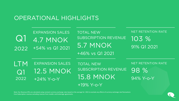## OPERATIONAL HIGHLIGHTS

| Q<br>2022         | <b>EXPANSION SALES</b><br><b>4.7 MNOK</b><br>+54% vs Q1 2021 | <b>TOTAL NEW</b><br>SUBSCRIPTION REVENUE<br>5.7 MNOK<br>+46% vs Q1 2021       | NET RETENTION RATE<br>103 %<br>91% Q1 2021 |
|-------------------|--------------------------------------------------------------|-------------------------------------------------------------------------------|--------------------------------------------|
| LTM<br>Q1<br>2022 | <b>EXPANSION SALES</b><br><b>12.5 MNOK</b><br>$+24\%$ Y-o-Y  | <b>TOTAL NEW</b><br>SUBSCRIPTION REVENUE<br><b>15.8 MNOK</b><br>$+19\%$ Y-o-Y | NET RETENTION RATE<br>98 %<br>94% Y-o-Y    |

Note: Our Revenue KPIs are calculated using constant currency exchange rates based on the average for 2021 to exclude any effects of currency exchange rate fluctuations Core Subscription revenue excluding revenue from reseller and brokerage agreements.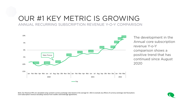## OUR #1 KEY METRIC IS GROWING ANNUAL RECURRING SUBSCRIPTION REVENUE Y-O-Y COMPARISON



The development in the Annual core subscription revenue Y-o-Y comparison shows a positive trend that has continued since August 2020

Note: Our Revenue KPIs are calculated using constant currency exchange rates based on the average for 2021 to exclude any effects of currency exchange rate fluctuations Core Subscription revenue excluding revenue from reseller and brokerage agreements.

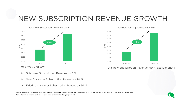# NEW SUBSCRIPTION REVENUE GROWTH



- $\triangleright$  Total new Subscription Revenue +46 %
- **▶** New Customer Subscription Revenue +20 %
- Existing customer Subscription Revenue +54 %

Note: Our Revenue KPIs are calculated using constant currency exchange rates based on the average for 2021 to exclude any effects of currency exchange rate fluctuations Core Subscription Revenue excluding revenue from reseller and brokerage agreements.



Total new Subscription Revenue +19 % last 12 months

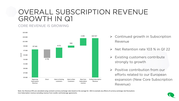## OVERALL SUBSCRIPTION REVENUE GROWTH IN Q1

### CORE REVENUE IS GROWING



- $\triangleright$  Continued growth in Subscription Revenue
- $\triangleright$  Net Retention rate 103 % in Q1 22
- $\triangleright$  Existing customers contribute strongly to growth
- $\triangleright$  Positive contribution from our efforts related to our European expansion (New Core Subscription Revenue)

Note: Our Revenue KPIs are calculated using constant currency exchange rates based on the average for 2021 to exclude any effects of currency exchange rate fluctuations Core Subscription revenue excluding revenue from reseller and brokerage agreements.

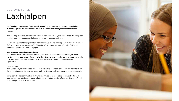#### CUSTOMER CASE

# Läxhjälpen

**The foundation Läxhjälpen ("Homework Helper") is a non-profit organization that helps students in grades 7-9 with their homework in areas where their grades are lower than average.**

With the help of local businesses, the public sector, foundations, and philanthropists, Läxhjälpen employs university students to help and support the younger students.

*"An essential part of the organization is to measure, evaluate, and regularly publish the results of their work to show the investors that Läxhjälpen is achieving substantial results." -* Matilda Svensson, Operational Chief, Läxhjälpen

#### **How work with Questback contributes**

The students take a survey when they first join Läxhjälpen and another after they've been mentored for at least a year. Being able to show these tangible results is a core reason as to why local businesses and municipalities are so positive when it comes to investing in the organization.

#### **Tangible results**

With Questback, Läxhjälpen gets a clear understanding of what everyone involved thinks about the cooperation, and it creates an opportunity to develop and make changes to the organization.

Läxhjälpen also get confirmation that what they're doing is generating positive effects. Each survey gives access to insights about what the organization needs to focus on, do more of, and what changes to make in the future.

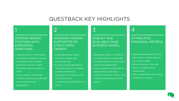### QUESTBACK KEY HIGHLIGHTS

3

### 1

#### STRONG NORDIC POSITION WITH EUROPEAN AMBITIONS

- Leading position in the Nordics
- The strategic platform of choice for employee and customer experience data for a highly diversified customer base of c. 1,600
- Sector agnostic and scalable software supporting growth both across industries and geographies

#### GROWING MARKET SUPPORTED BY **STRUCTURAL** TRENDS

2

- Large addressable market growing at double-digit percentage rates • Business model supported by
- structural trends: (i) increased customer & employee expectations; (ii) remote work; and (iii) increased consumerization of software as a service.

#### ROBUST AND SCALABLE SAAS BUSINESS MODEL

- Questback's platform is offered as a SaaS solution yielding high revenue visibility as well as crossand up-sell opportunities • Long contracts per customers as each contract is typically a
- minimum 12 months, with the vast majority extending beyond this period

### 4

#### ATTRACTIVE FINANCIAL METRICS

- Customers pay upfront for their subscription, positive effect on our working capital
- 96 % of revenue is recurring revenue, creating strong predictability
- The average lifetime for existing customers is +8 years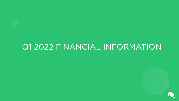# Q1 2022 FINANCIAL INFORMATION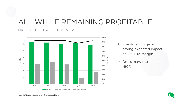## ALL WHILE REMAINING PROFITABLE

### HIGHLY PROFITABLE BUSINESS



- $\triangleright$  Investment in growth having expected impact on EBITDA margin
- Gross margin stable at ~90%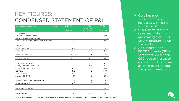## KEY FIGURES: CONDENSED STATEMENT OF P&L

| All amounts in million NOK              | <b>Note</b> | Q1 2022   | Q1 2021<br>Unaudited | FY 2021        |
|-----------------------------------------|-------------|-----------|----------------------|----------------|
|                                         |             | Unaudited | Pro forma            | <b>Audited</b> |
| <b>Core Business</b>                    |             |           |                      |                |
| New Subscription Sales                  |             | 5,7       | 3,9                  | 13,9           |
| <b>Subscription Renewals Sales</b>      |             | 26,1      | 23,6                 | 83,5           |
| Total Subscription Sales, Core business | 31,8        | 27,5      | 97,4                 |                |
| Non-Core:                               |             |           |                      |                |
| Non-core sales                          |             | 4,9       | 7,9                  | 28,1           |
| <b>Total Sales</b>                      |             | 36,7      | 35,4                 | 125,5          |
| Revenue deferrals                       |             | (7,0)     | (3, 9)               | (0,4)          |
| Total revenues                          |             | 29,6      | 31,5                 | 124,1          |
| Cost of goods sold                      |             | 2,0       | 2,0                  | 10,7           |
| Salary and personell costs              |             | 12,7      | 10,4                 | 45,4           |
| Other operating costs                   |             | 6, 3      | 4,2                  | 32,0           |
| EBITDA                                  |             | 8,6       | 14,9                 | 36,0           |
| Special items                           |             | O, 5      |                      | 15,2           |
| Adjusted EBITDA*                        |             | 9,1       | 14,9                 | 51,2           |
| Depreciations and amortisation          |             | 1,8       | 2,4                  | 9,1            |
| Operating profit                        |             | 6,8       | 12,5                 | 26,9           |
| Net financial items                     |             | (12,0)    | (8,1)                | (56, 3)        |
| Profit before tax                       |             | (5,1)     | 4,4                  | (29,3)         |

Note: Adjustments to EBITDA are one-offs and special items related to the restructuring, refinancing and listing-processes

- $\triangleright$  Core business subscription sales increases with 15.5% from Q1 2021
- $\triangleright$  COGS correlate with sales, maintaining a gross margin of ~90 %. Strong profitability on the product
- $\triangleright$  As expected, the EBITDA margin (31%) is somewhat lower than Q1 21 due to increased number of FTEs, as well as other costs fueling the growth ambitions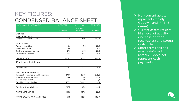## KEY FIGURES: CONDENSED BALANCE SHEET

| All amounts in million NOK            | 31.03.2022 | 31.03.2021             | 31.12.2021 |
|---------------------------------------|------------|------------------------|------------|
|                                       | Unaudited  | Unaudited<br>Pro forma | Audited    |
| Assets                                |            |                        |            |
| Non-current assets                    |            |                        |            |
| Total non-current assets              | 375,9      | 392,0                  | 379,0      |
| Current assets                        |            |                        |            |
| Trade receivables                     | 15,1       | 8,5                    | 23,8       |
| Other receivables                     | 8,4        | 4,7                    | 8,7        |
| Cash and cash equivalents             | 27,5       | 23,1                   | 27,4       |
| Total current assets                  | 51,0       | 36,3                   | 59,9       |
| <b>TOTAL ASSETS</b>                   | 426,9      | 428,3                  | 439,0      |
| Equity and liabilities                |            |                        |            |
| <b>Total Equity</b>                   | 4,3        | 30,7                   | 16,7       |
| Other long-term liabilities           |            |                        |            |
| Interest-bearing loans and borrowings | 279,8      | 267,9                  | 272,8      |
| Long-term lease liabilities           | 23,6       | 31, O                  | 22,6       |
| Deferred tax liabilities              | 1,7        | 2,0                    | 1,7        |
| Total long-term liabilities           | 305,1      | 300,9                  | 297,1      |
| Total short-term liabilities          | 117,5      | 96,6                   | 125,1      |
| <b>TOTAL LIABILITIES</b>              | 422,6      | 397,5                  | 422,2      |
| TOTAL EQUITY AND LIABILITIES          | 426,9      | 428,3                  | 439,0      |

- $\triangleright$  Non-current assets represents mostly Goodwill and IFRS 16 (lease)
- $\triangleright$  Current assets reflects high level of activity (increase of trade receivables) and strong cash collection
- $\triangleright$  Short term liabilities mostly deferred revenue – does not represent cash payments